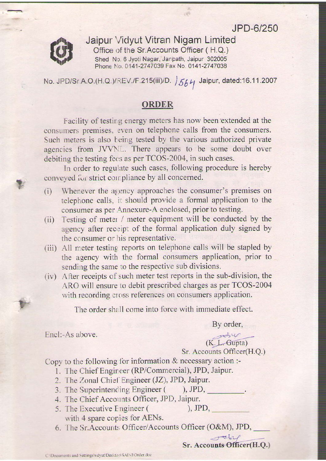JPD-6/250



?

Jaipur \n'idyut Vitran Nigam Limited Office of the Sr.Accounts Officer (H.Q.) Shed No. 6 Jyoti Nagar, Janpath, Jaipur 302005 Phone No. 0141-2747039 Fax No. 0141-2747038

No. JPD/Sr A.O.(H.Q.)/REV./F.215(iii)/D.  $/564$  Jaipur, dated:16.11.2007

## **ORDER**

Facility of testirg energy meters has now been extended at the consumers premises, even on telephone calls from the consumers. Such meters is also being tested by the various authorized private agencies from JVVNL. There appears to be some doubt over debiting the testing fees as per TCOS-2004, in such cases.

In order to regulate such cases, following procedure is hereby conveyed for strict compliance by all concerned.

- (i) Whenever the agency approaches the consumer's premises on telephone calls, it should provide a formal application to the consumer as per Annexure-A enclosed, prior to testing.
- (ii) Testing of meter / meter equipment will be conducted by the agency after receipt of the formal application duly signed by the ccnsumer or his representative.
- (iii) All meter testing reports on telephone calls will be stapled by the agency with the formal cousumers application, prior to sending the same to the respective sub divisions.
- (iv) After receipts of such meter test reports in the sub-division, the ARO will ensure to debit prescribed charges as per TCOS-2004 with recording cross references on consumers application.

The order shall come into force with immediate effect.

By order,

Encl:-As above.

 $(K.L.Gupta)$ 

Sr. Accounts Officer(H.Q.)

Copy to the following for information  $\&$  necessary action :-

- 1. The Chief Engineer (RP/Commercial), JPD, Jaipur.
- 2. The Zonal Chief Engineer (JZ), JPD, Jaipur.
- 3. The Superintending Engineer ( ), JPD,
- 4. The Chief Accounts Officer, JPD, Jaipur.
- 5. The Executive Engineer ( with 4 spare copies for AENs.
- 6. The Sr.Accounts Officer/Accounts Officer (O&M), JPD,

 $-$ rebel Sr. Accounts Officer(H.Q.)

-

), JPD,